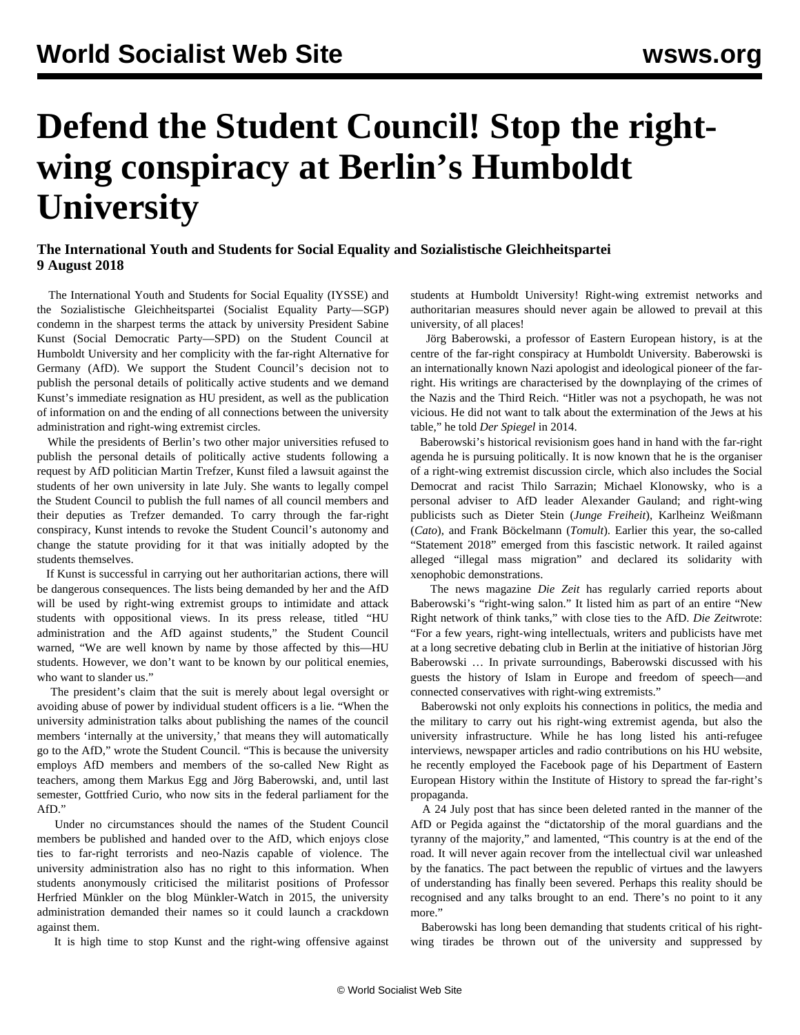## **Defend the Student Council! Stop the rightwing conspiracy at Berlin's Humboldt University**

## **The International Youth and Students for Social Equality and Sozialistische Gleichheitspartei 9 August 2018**

 The International Youth and Students for Social Equality (IYSSE) and the Sozialistische Gleichheitspartei (Socialist Equality Party—SGP) condemn in the sharpest terms the attack by university President Sabine Kunst (Social Democratic Party—SPD) on the Student Council at Humboldt University and her complicity with the far-right Alternative for Germany (AfD). We support the Student Council's decision not to publish the personal details of politically active students and we demand Kunst's immediate resignation as HU president, as well as the publication of information on and the ending of all connections between the university administration and right-wing extremist circles.

 While the presidents of Berlin's two other major universities refused to publish the personal details of politically active students following a request by AfD politician Martin Trefzer, Kunst filed a lawsuit against the students of her own university in late July. She wants to legally compel the Student Council to publish the full names of all council members and their deputies as Trefzer demanded. To carry through the far-right conspiracy, Kunst intends to revoke the Student Council's autonomy and change the statute providing for it that was initially adopted by the students themselves.

 If Kunst is successful in carrying out her authoritarian actions, there will be dangerous consequences. The lists being demanded by her and the AfD will be used by right-wing extremist groups to intimidate and attack students with oppositional views. In its press release, titled "HU administration and the AfD against students," the Student Council warned, "We are well known by name by those affected by this—HU students. However, we don't want to be known by our political enemies, who want to slander us."

 The president's claim that the suit is merely about legal oversight or avoiding abuse of power by individual student officers is a lie. "When the university administration talks about publishing the names of the council members 'internally at the university,' that means they will automatically go to the AfD," wrote the Student Council. "This is because the university employs AfD members and members of the so-called New Right as teachers, among them Markus Egg and Jörg Baberowski, and, until last semester, Gottfried Curio, who now sits in the federal parliament for the AfD."

 Under no circumstances should the names of the Student Council members be published and handed over to the AfD, which enjoys close ties to far-right terrorists and neo-Nazis capable of violence. The university administration also has no right to this information. When students anonymously criticised the militarist positions of Professor Herfried Münkler on the blog Münkler-Watch in 2015, the university administration demanded their names so it could launch a crackdown against them.

It is high time to stop Kunst and the right-wing offensive against

students at Humboldt University! Right-wing extremist networks and authoritarian measures should never again be allowed to prevail at this university, of all places!

 Jörg Baberowski, a professor of Eastern European history, is at the centre of the far-right conspiracy at Humboldt University. Baberowski is an internationally known Nazi apologist and ideological pioneer of the farright. His writings are characterised by the downplaying of the crimes of the Nazis and the Third Reich. "Hitler was not a psychopath, he was not vicious. He did not want to talk about the extermination of the Jews at his table," he told *Der Spiegel* in 2014.

 Baberowski's historical revisionism goes hand in hand with the far-right agenda he is pursuing politically. It is now known that he is the organiser of a right-wing extremist discussion circle, which also includes the Social Democrat and racist Thilo Sarrazin; Michael Klonowsky, who is a personal adviser to AfD leader Alexander Gauland; and right-wing publicists such as Dieter Stein (*Junge Freiheit*), Karlheinz Weißmann (*Cato*), and Frank Böckelmann (*Tomult*). Earlier this year, the so-called "Statement 2018" emerged from this fascistic network. It railed against alleged "illegal mass migration" and declared its solidarity with xenophobic demonstrations.

 The news magazine *Die Zeit* has regularly carried reports about Baberowski's "right-wing salon." It listed him as part of an entire "New Right network of think tanks," with close ties to the AfD. *Die Zeit*wrote: "For a few years, right-wing intellectuals, writers and publicists have met at a long secretive debating club in Berlin at the initiative of historian Jörg Baberowski … In private surroundings, Baberowski discussed with his guests the history of Islam in Europe and freedom of speech—and connected conservatives with right-wing extremists."

 Baberowski not only exploits his connections in politics, the media and the military to carry out his right-wing extremist agenda, but also the university infrastructure. While he has long listed his anti-refugee interviews, newspaper articles and radio contributions on his HU website, he recently employed the Facebook page of his Department of Eastern European History within the Institute of History to spread the far-right's propaganda.

 A 24 July post that has since been deleted ranted in the manner of the AfD or Pegida against the "dictatorship of the moral guardians and the tyranny of the majority," and lamented, "This country is at the end of the road. It will never again recover from the intellectual civil war unleashed by the fanatics. The pact between the republic of virtues and the lawyers of understanding has finally been severed. Perhaps this reality should be recognised and any talks brought to an end. There's no point to it any more."

 Baberowski has long been demanding that students critical of his rightwing tirades be thrown out of the university and suppressed by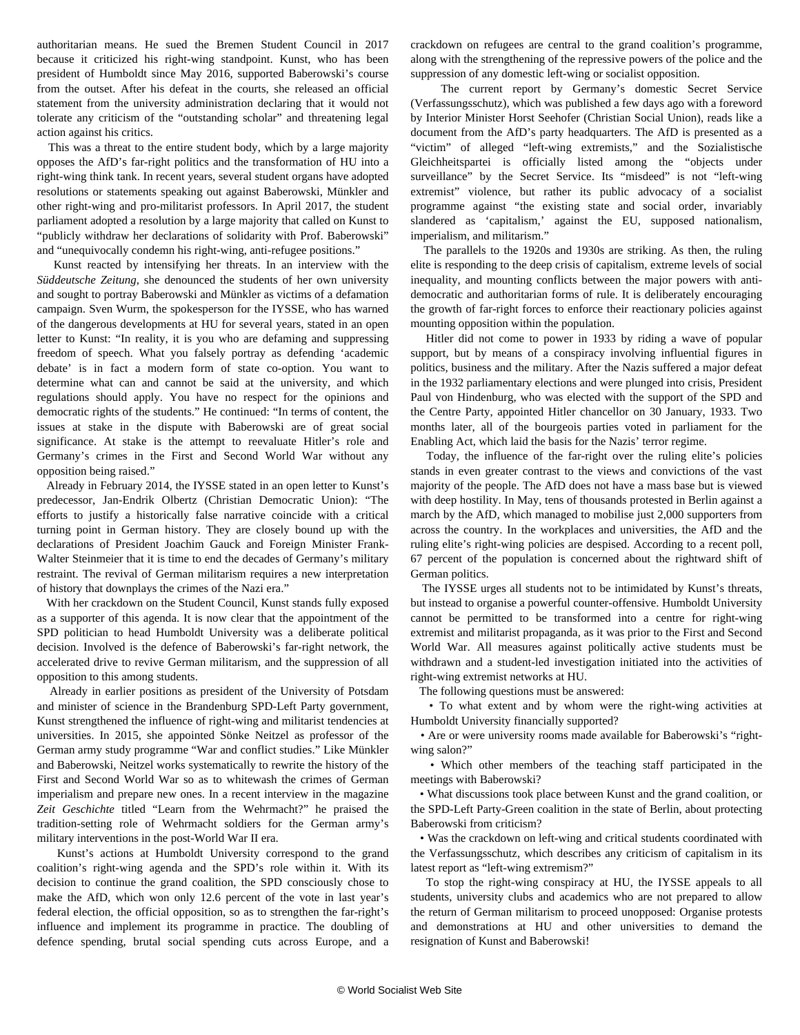authoritarian means. He sued the Bremen Student Council in 2017 because it criticized his right-wing standpoint. Kunst, who has been president of Humboldt since May 2016, supported Baberowski's course from the outset. After his defeat in the courts, she released an official statement from the university administration declaring that it would not tolerate any criticism of the "outstanding scholar" and threatening legal action against his critics.

 This was a threat to the entire student body, which by a large majority opposes the AfD's far-right politics and the transformation of HU into a right-wing think tank. In recent years, several student organs have adopted resolutions or statements speaking out against Baberowski, Münkler and other right-wing and pro-militarist professors. In April 2017, the student parliament adopted a resolution by a large majority that called on Kunst to "publicly withdraw her declarations of solidarity with Prof. Baberowski" and "unequivocally condemn his right-wing, anti-refugee positions."

 Kunst reacted by intensifying her threats. In an interview with the *Süddeutsche Zeitung*, she denounced the students of her own university and sought to portray Baberowski and Münkler as victims of a defamation campaign. Sven Wurm, the spokesperson for the IYSSE, who has warned of the dangerous developments at HU for several years, stated in an open letter to Kunst: "In reality, it is you who are defaming and suppressing freedom of speech. What you falsely portray as defending 'academic debate' is in fact a modern form of state co-option. You want to determine what can and cannot be said at the university, and which regulations should apply. You have no respect for the opinions and democratic rights of the students." He continued: "In terms of content, the issues at stake in the dispute with Baberowski are of great social significance. At stake is the attempt to reevaluate Hitler's role and Germany's crimes in the First and Second World War without any opposition being raised."

 Already in February 2014, the IYSSE stated in an open letter to Kunst's predecessor, Jan-Endrik Olbertz (Christian Democratic Union): "The efforts to justify a historically false narrative coincide with a critical turning point in German history. They are closely bound up with the declarations of President Joachim Gauck and Foreign Minister Frank-Walter Steinmeier that it is time to end the decades of Germany's military restraint. The revival of German militarism requires a new interpretation of history that downplays the crimes of the Nazi era."

 With her crackdown on the Student Council, Kunst stands fully exposed as a supporter of this agenda. It is now clear that the appointment of the SPD politician to head Humboldt University was a deliberate political decision. Involved is the defence of Baberowski's far-right network, the accelerated drive to revive German militarism, and the suppression of all opposition to this among students.

 Already in earlier positions as president of the University of Potsdam and minister of science in the Brandenburg SPD-Left Party government, Kunst strengthened the influence of right-wing and militarist tendencies at universities. In 2015, she appointed Sönke Neitzel as professor of the German army study programme "War and conflict studies." Like Münkler and Baberowski, Neitzel works systematically to rewrite the history of the First and Second World War so as to whitewash the crimes of German imperialism and prepare new ones. In a recent interview in the magazine *Zeit Geschichte* titled "Learn from the Wehrmacht?" he praised the tradition-setting role of Wehrmacht soldiers for the German army's military interventions in the post-World War II era.

 Kunst's actions at Humboldt University correspond to the grand coalition's right-wing agenda and the SPD's role within it. With its decision to continue the grand coalition, the SPD consciously chose to make the AfD, which won only 12.6 percent of the vote in last year's federal election, the official opposition, so as to strengthen the far-right's influence and implement its programme in practice. The doubling of defence spending, brutal social spending cuts across Europe, and a

crackdown on refugees are central to the grand coalition's programme, along with the strengthening of the repressive powers of the police and the suppression of any domestic left-wing or socialist opposition.

 The current report by Germany's domestic Secret Service (Verfassungsschutz), which was published a few days ago with a foreword by Interior Minister Horst Seehofer (Christian Social Union), reads like a document from the AfD's party headquarters. The AfD is presented as a "victim" of alleged "left-wing extremists," and the Sozialistische Gleichheitspartei is officially listed among the "objects under surveillance" by the Secret Service. Its "misdeed" is not "left-wing extremist" violence, but rather its public advocacy of a socialist programme against "the existing state and social order, invariably slandered as 'capitalism,' against the EU, supposed nationalism, imperialism, and militarism."

 The parallels to the 1920s and 1930s are striking. As then, the ruling elite is responding to the deep crisis of capitalism, extreme levels of social inequality, and mounting conflicts between the major powers with antidemocratic and authoritarian forms of rule. It is deliberately encouraging the growth of far-right forces to enforce their reactionary policies against mounting opposition within the population.

 Hitler did not come to power in 1933 by riding a wave of popular support, but by means of a conspiracy involving influential figures in politics, business and the military. After the Nazis suffered a major defeat in the 1932 parliamentary elections and were plunged into crisis, President Paul von Hindenburg, who was elected with the support of the SPD and the Centre Party, appointed Hitler chancellor on 30 January, 1933. Two months later, all of the bourgeois parties voted in parliament for the Enabling Act, which laid the basis for the Nazis' terror regime.

 Today, the influence of the far-right over the ruling elite's policies stands in even greater contrast to the views and convictions of the vast majority of the people. The AfD does not have a mass base but is viewed with deep hostility. In May, tens of thousands protested in Berlin against a march by the AfD, which managed to mobilise just 2,000 supporters from across the country. In the workplaces and universities, the AfD and the ruling elite's right-wing policies are despised. According to a recent poll, 67 percent of the population is concerned about the rightward shift of German politics.

 The IYSSE urges all students not to be intimidated by Kunst's threats, but instead to organise a powerful counter-offensive. Humboldt University cannot be permitted to be transformed into a centre for right-wing extremist and militarist propaganda, as it was prior to the First and Second World War. All measures against politically active students must be withdrawn and a student-led investigation initiated into the activities of right-wing extremist networks at HU.

The following questions must be answered:

 • To what extent and by whom were the right-wing activities at Humboldt University financially supported?

 • Are or were university rooms made available for Baberowski's "rightwing salon?"

 • Which other members of the teaching staff participated in the meetings with Baberowski?

 • What discussions took place between Kunst and the grand coalition, or the SPD-Left Party-Green coalition in the state of Berlin, about protecting Baberowski from criticism?

 • Was the crackdown on left-wing and critical students coordinated with the Verfassungsschutz, which describes any criticism of capitalism in its latest report as "left-wing extremism?"

 To stop the right-wing conspiracy at HU, the IYSSE appeals to all students, university clubs and academics who are not prepared to allow the return of German militarism to proceed unopposed: Organise protests and demonstrations at HU and other universities to demand the resignation of Kunst and Baberowski!